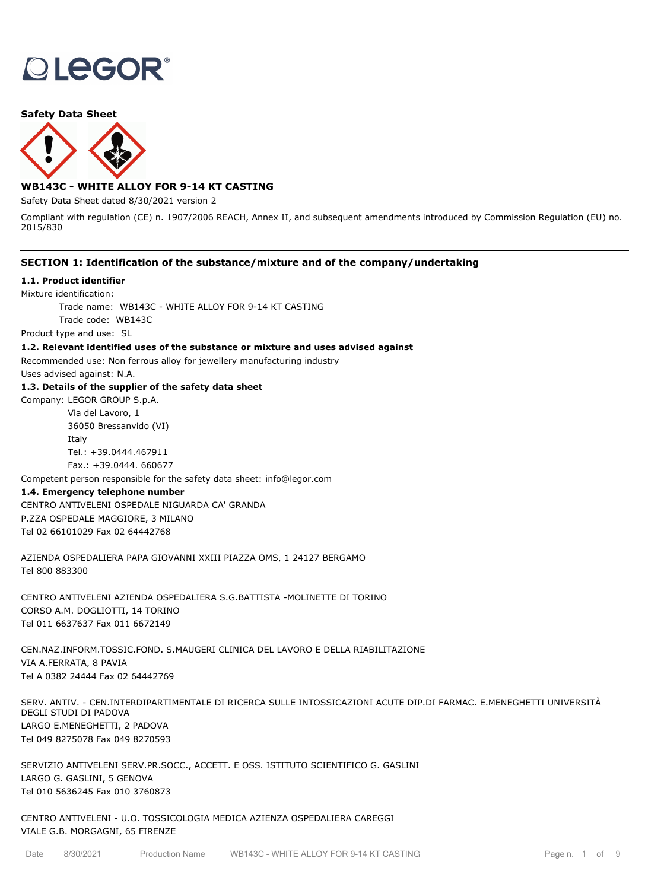# **OLEGOR®**

**Safety Data Sheet**



# **WB143C - WHITE ALLOY FOR 9-14 KT CASTING**

Safety Data Sheet dated 8/30/2021 version 2

Compliant with regulation (CE) n. 1907/2006 REACH, Annex II, and subsequent amendments introduced by Commission Regulation (EU) no. 2015/830

## **SECTION 1: Identification of the substance/mixture and of the company/undertaking**

## **1.1. Product identifier**

Mixture identification:

Trade name: WB143C - WHITE ALLOY FOR 9-14 KT CASTING

Trade code: WB143C

Product type and use: SL

#### **1.2. Relevant identified uses of the substance or mixture and uses advised against**

Recommended use: Non ferrous alloy for jewellery manufacturing industry

Uses advised against: N.A.

### **1.3. Details of the supplier of the safety data sheet**

Company: LEGOR GROUP S.p.A. Via del Lavoro, 1

> 36050 Bressanvido (VI) Italy Tel.: +39.0444.467911 Fax.: +39.0444. 660677

Competent person responsible for the safety data sheet: info@legor.com

## **1.4. Emergency telephone number**

CENTRO ANTIVELENI OSPEDALE NIGUARDA CA' GRANDA P.ZZA OSPEDALE MAGGIORE, 3 MILANO Tel 02 66101029 Fax 02 64442768

AZIENDA OSPEDALIERA PAPA GIOVANNI XXIII PIAZZA OMS, 1 24127 BERGAMO Tel 800 883300

CENTRO ANTIVELENI AZIENDA OSPEDALIERA S.G.BATTISTA -MOLINETTE DI TORINO CORSO A.M. DOGLIOTTI, 14 TORINO Tel 011 6637637 Fax 011 6672149

CEN.NAZ.INFORM.TOSSIC.FOND. S.MAUGERI CLINICA DEL LAVORO E DELLA RIABILITAZIONE VIA A.FERRATA, 8 PAVIA Tel A 0382 24444 Fax 02 64442769

SERV. ANTIV. - CEN.INTERDIPARTIMENTALE DI RICERCA SULLE INTOSSICAZIONI ACUTE DIP.DI FARMAC. E.MENEGHETTI UNIVERSITÀ DEGLI STUDI DI PADOVA LARGO E.MENEGHETTI, 2 PADOVA Tel 049 8275078 Fax 049 8270593

SERVIZIO ANTIVELENI SERV.PR.SOCC., ACCETT. E OSS. ISTITUTO SCIENTIFICO G. GASLINI LARGO G. GASLINI, 5 GENOVA Tel 010 5636245 Fax 010 3760873

CENTRO ANTIVELENI - U.O. TOSSICOLOGIA MEDICA AZIENZA OSPEDALIERA CAREGGI VIALE G.B. MORGAGNI, 65 FIRENZE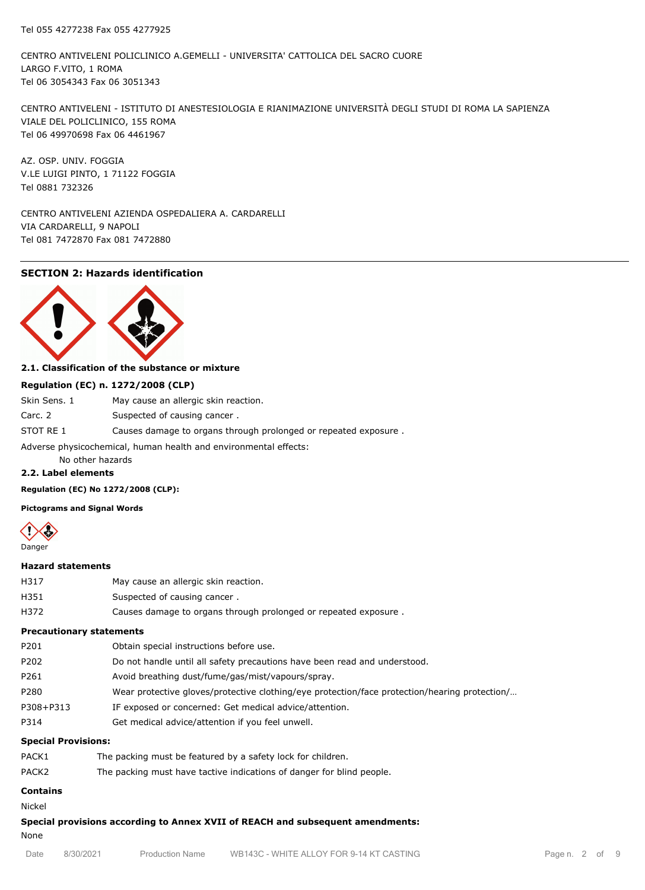CENTRO ANTIVELENI POLICLINICO A.GEMELLI - UNIVERSITA' CATTOLICA DEL SACRO CUORE LARGO F.VITO, 1 ROMA Tel 06 3054343 Fax 06 3051343

CENTRO ANTIVELENI - ISTITUTO DI ANESTESIOLOGIA E RIANIMAZIONE UNIVERSITÀ DEGLI STUDI DI ROMA LA SAPIENZA VIALE DEL POLICLINICO, 155 ROMA Tel 06 49970698 Fax 06 4461967

AZ. OSP. UNIV. FOGGIA V.LE LUIGI PINTO, 1 71122 FOGGIA Tel 0881 732326

CENTRO ANTIVELENI AZIENDA OSPEDALIERA A. CARDARELLI VIA CARDARELLI, 9 NAPOLI Tel 081 7472870 Fax 081 7472880

## **SECTION 2: Hazards identification**



## **2.1. Classification of the substance or mixture**

#### **Regulation (EC) n. 1272/2008 (CLP)**

| Skin Sens. 1                                                     | May cause an allergic skin reaction.                            |  |  |  |
|------------------------------------------------------------------|-----------------------------------------------------------------|--|--|--|
| Carc. 2                                                          | Suspected of causing cancer.                                    |  |  |  |
| STOT RE 1                                                        | Causes damage to organs through prolonged or repeated exposure. |  |  |  |
| Adverse physicochemical, human health and environmental effects: |                                                                 |  |  |  |

No other hazards

## **2.2. Label elements**

**Regulation (EC) No 1272/2008 (CLP):**

**Pictograms and Signal Words**



#### **Hazard statements**

| H317 | May cause an allergic skin reaction. |
|------|--------------------------------------|
| H351 | Suspected of causing cancer.         |
|      |                                      |

H372 Causes damage to organs through prolonged or repeated exposure .

## **Precautionary statements**

| P201<br>Obtain special instructions before use.                                                       |  |
|-------------------------------------------------------------------------------------------------------|--|
| P202<br>Do not handle until all safety precautions have been read and understood.                     |  |
| P261<br>Avoid breathing dust/fume/gas/mist/vapours/spray.                                             |  |
| P280<br>Wear protective gloves/protective clothing/eye protection/face protection/hearing protection/ |  |
| P308+P313<br>IF exposed or concerned: Get medical advice/attention.                                   |  |
| P314<br>Get medical advice/attention if you feel unwell.                                              |  |

### **Special Provisions:**

| PACK1             | The packing must be featured by a safety lock for children.           |
|-------------------|-----------------------------------------------------------------------|
| PACK <sub>2</sub> | The packing must have tactive indications of danger for blind people. |

# **Contains**

Nickel

**Special provisions according to Annex XVII of REACH and subsequent amendments:** None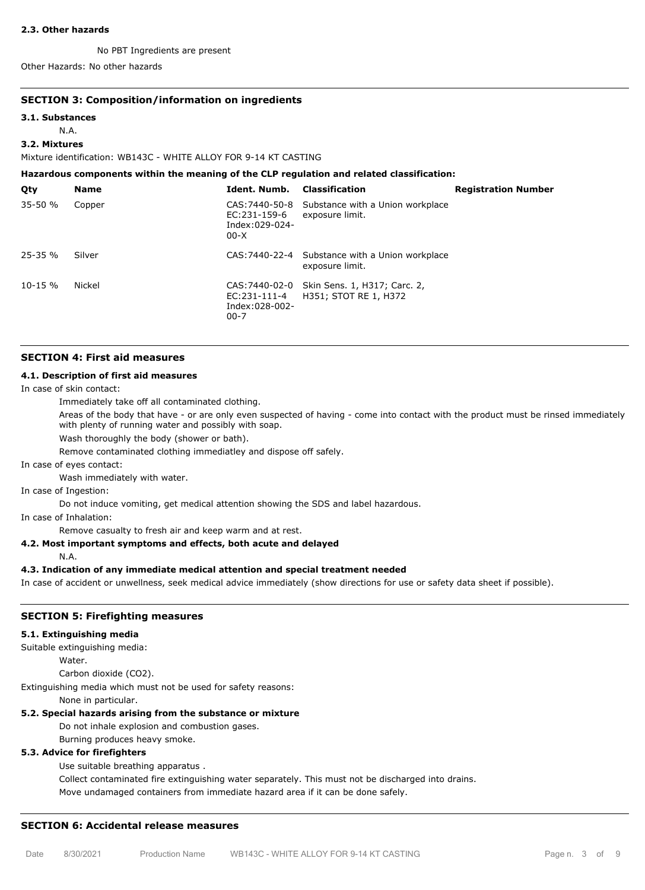#### **2.3. Other hazards**

No PBT Ingredients are present

Other Hazards: No other hazards

## **SECTION 3: Composition/information on ingredients**

#### **3.1. Substances**

N.A.

## **3.2. Mixtures**

Mixture identification: WB143C - WHITE ALLOY FOR 9-14 KT CASTING

**Hazardous components within the meaning of the CLP regulation and related classification:**

| Qty          | <b>Name</b> | Ident. Numb.                               | <b>Classification</b>                                                | <b>Registration Number</b> |
|--------------|-------------|--------------------------------------------|----------------------------------------------------------------------|----------------------------|
| $35 - 50 %$  | Copper      | EC:231-159-6<br>Index:029-024-<br>$00-X$   | CAS: 7440-50-8 Substance with a Union workplace<br>exposure limit.   |                            |
| $25 - 35 %$  | Silver      |                                            | CAS: 7440-22-4 Substance with a Union workplace<br>exposure limit.   |                            |
| $10 - 15 \%$ | Nickel      | EC:231-111-4<br>Index:028-002-<br>$00 - 7$ | CAS: 7440-02-0 Skin Sens. 1, H317; Carc. 2,<br>H351; STOT RE 1, H372 |                            |

#### **SECTION 4: First aid measures**

#### **4.1. Description of first aid measures**

In case of skin contact:

Immediately take off all contaminated clothing.

Areas of the body that have - or are only even suspected of having - come into contact with the product must be rinsed immediately with plenty of running water and possibly with soap.

Wash thoroughly the body (shower or bath).

Remove contaminated clothing immediatley and dispose off safely.

In case of eyes contact:

Wash immediately with water.

In case of Ingestion:

Do not induce vomiting, get medical attention showing the SDS and label hazardous.

In case of Inhalation:

Remove casualty to fresh air and keep warm and at rest.

## **4.2. Most important symptoms and effects, both acute and delayed**

N.A.

## **4.3. Indication of any immediate medical attention and special treatment needed**

In case of accident or unwellness, seek medical advice immediately (show directions for use or safety data sheet if possible).

## **SECTION 5: Firefighting measures**

## **5.1. Extinguishing media**

Suitable extinguishing media:

Water.

Carbon dioxide (CO2).

Extinguishing media which must not be used for safety reasons:

None in particular.

## **5.2. Special hazards arising from the substance or mixture**

Do not inhale explosion and combustion gases.

Burning produces heavy smoke.

## **5.3. Advice for firefighters**

Use suitable breathing apparatus .

Collect contaminated fire extinguishing water separately. This must not be discharged into drains.

Move undamaged containers from immediate hazard area if it can be done safely.

## **SECTION 6: Accidental release measures**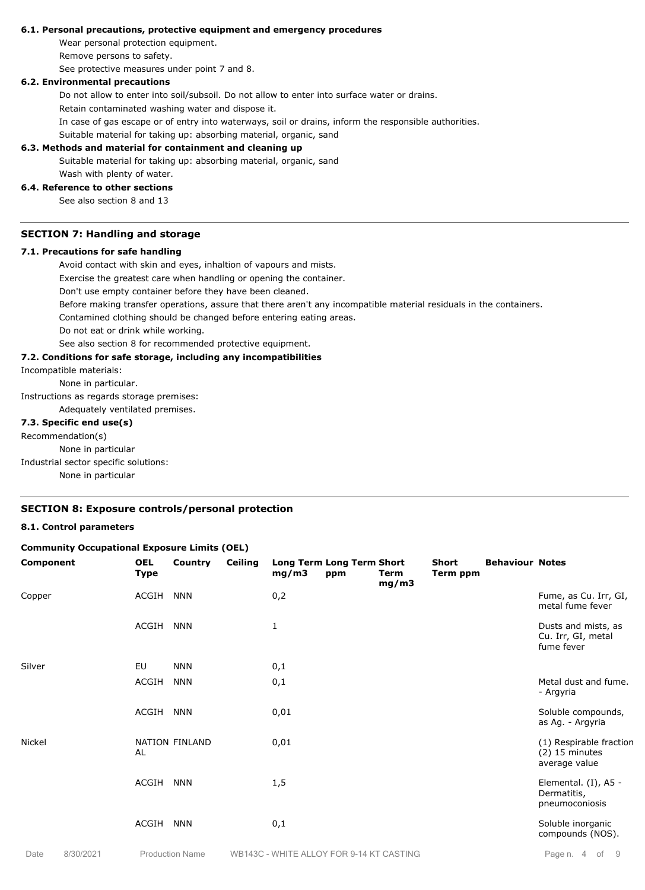#### **6.1. Personal precautions, protective equipment and emergency procedures**

Wear personal protection equipment.

Remove persons to safety.

See protective measures under point 7 and 8.

## **6.2. Environmental precautions**

Do not allow to enter into soil/subsoil. Do not allow to enter into surface water or drains.

Retain contaminated washing water and dispose it.

In case of gas escape or of entry into waterways, soil or drains, inform the responsible authorities.

Suitable material for taking up: absorbing material, organic, sand

## **6.3. Methods and material for containment and cleaning up**

Suitable material for taking up: absorbing material, organic, sand

#### Wash with plenty of water. **6.4. Reference to other sections**

See also section 8 and 13

#### **SECTION 7: Handling and storage**

#### **7.1. Precautions for safe handling**

Avoid contact with skin and eyes, inhaltion of vapours and mists.

Exercise the greatest care when handling or opening the container.

Don't use empty container before they have been cleaned.

Before making transfer operations, assure that there aren't any incompatible material residuals in the containers.

Contamined clothing should be changed before entering eating areas.

Do not eat or drink while working.

See also section 8 for recommended protective equipment.

## **7.2. Conditions for safe storage, including any incompatibilities**

Incompatible materials:

None in particular.

Instructions as regards storage premises:

Adequately ventilated premises.

## **7.3. Specific end use(s)**

Recommendation(s)

None in particular

Industrial sector specific solutions:

None in particular

## **SECTION 8: Exposure controls/personal protection**

## **8.1. Control parameters**

#### **Community Occupational Exposure Limits (OEL)**

| Component | <b>OEL</b><br><b>Type</b> | Country        | Ceiling | mg/m3 | <b>Long Term Long Term Short</b><br>ppm | Term<br>mg/m3 | <b>Short</b><br>Term ppm | <b>Behaviour Notes</b> |                                                              |
|-----------|---------------------------|----------------|---------|-------|-----------------------------------------|---------------|--------------------------|------------------------|--------------------------------------------------------------|
| Copper    | ACGIH                     | <b>NNN</b>     |         | 0,2   |                                         |               |                          |                        | Fume, as Cu. Irr, GI,<br>metal fume fever                    |
|           | ACGIH                     | <b>NNN</b>     |         | 1     |                                         |               |                          |                        | Dusts and mists, as<br>Cu. Irr, GI, metal<br>fume fever      |
| Silver    | EU                        | <b>NNN</b>     |         | 0,1   |                                         |               |                          |                        |                                                              |
|           | ACGIH                     | <b>NNN</b>     |         | 0,1   |                                         |               |                          |                        | Metal dust and fume.<br>- Argyria                            |
|           | ACGIH                     | <b>NNN</b>     |         | 0,01  |                                         |               |                          |                        | Soluble compounds,<br>as Ag. - Argyria                       |
| Nickel    | AL                        | NATION FINLAND |         | 0,01  |                                         |               |                          |                        | (1) Respirable fraction<br>$(2)$ 15 minutes<br>average value |
|           | ACGIH                     | <b>NNN</b>     |         | 1,5   |                                         |               |                          |                        | Elemental. (I), A5 -<br>Dermatitis,<br>pneumoconiosis        |
|           | ACGIH                     | <b>NNN</b>     |         | 0,1   |                                         |               |                          |                        | Soluble inorganic<br>compounds (NOS).                        |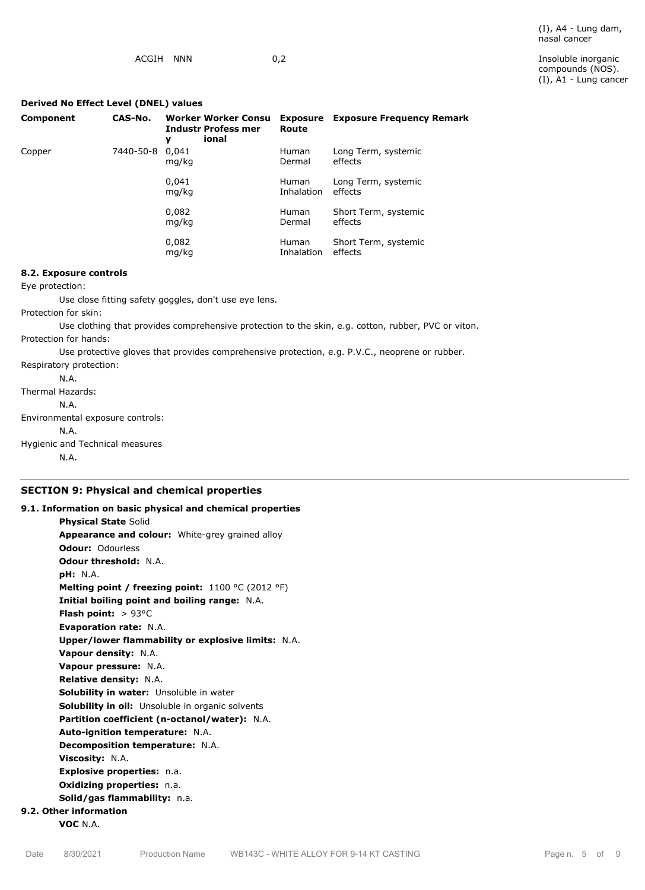compounds (NOS). (I), A1 - Lung cancer

## **Derived No Effect Level (DNEL) values**

| Component | CAS-No.   | <b>Worker Worker Consu</b><br><b>Industr Profess mer</b><br>ional<br>v | Exposure<br>Route          | <b>Exposure Frequency Remark</b> |
|-----------|-----------|------------------------------------------------------------------------|----------------------------|----------------------------------|
| Copper    | 7440-50-8 | 0.041<br>mg/kg                                                         | <b>Human</b><br>Dermal     | Long Term, systemic<br>effects   |
|           |           | 0.041<br>mg/kg                                                         | <b>Human</b><br>Inhalation | Long Term, systemic<br>effects   |
|           |           | 0,082<br>mg/kg                                                         | <b>Human</b><br>Dermal     | Short Term, systemic<br>effects  |
|           |           | 0,082<br>mg/kg                                                         | <b>Human</b><br>Inhalation | Short Term, systemic<br>effects  |

## **8.2. Exposure controls**

Eye protection:

Use close fitting safety goggles, don't use eye lens.

Protection for skin:

Use clothing that provides comprehensive protection to the skin, e.g. cotton, rubber, PVC or viton. Protection for hands:

Use protective gloves that provides comprehensive protection, e.g. P.V.C., neoprene or rubber.

Respiratory protection: N.A. Thermal Hazards: N.A. Environmental exposure controls: N.A. Hygienic and Technical measures N.A.

# **SECTION 9: Physical and chemical properties**

**9.1. Information on basic physical and chemical properties Physical State** Solid **Appearance and colour:** White-grey grained alloy **Odour:** Odourless **Odour threshold:** N.A. **pH:** N.A. **Melting point / freezing point:** 1100 °C (2012 °F) **Initial boiling point and boiling range:** N.A. **Flash point:** > 93°C **Evaporation rate:** N.A. **Upper/lower flammability or explosive limits:** N.A. **Vapour density:** N.A. **Vapour pressure:** N.A. **Relative density:** N.A. **Solubility in water:** Unsoluble in water **Solubility in oil:** Unsoluble in organic solvents **Partition coefficient (n-octanol/water):** N.A. **Auto-ignition temperature:** N.A. **Decomposition temperature:** N.A. **Viscosity:** N.A. **Explosive properties:** n.a. **Oxidizing properties:** n.a. **Solid/gas flammability:** n.a. **9.2. Other information**

**VOC** N.A.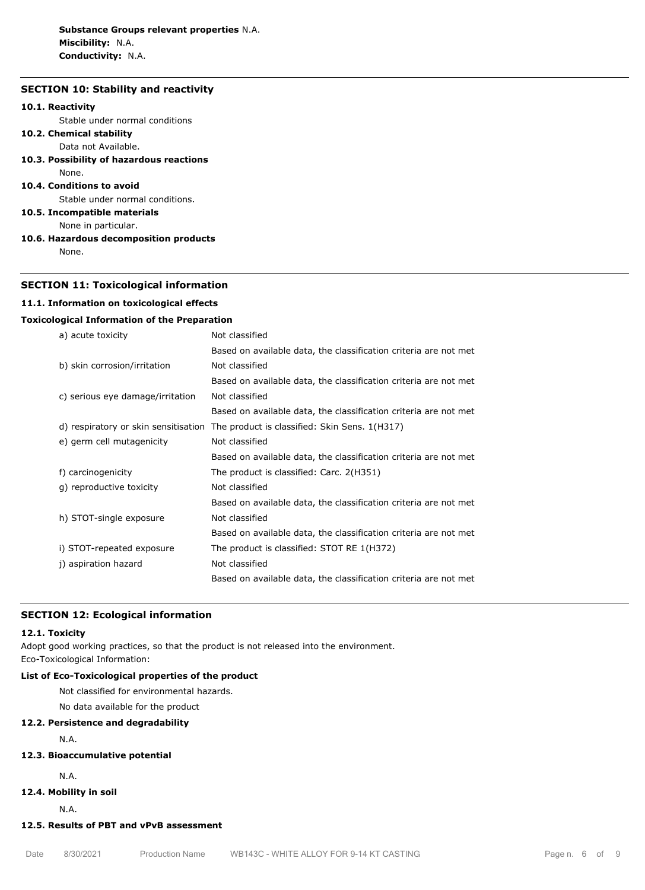## **SECTION 10: Stability and reactivity**

#### **10.1. Reactivity**

Stable under normal conditions

## **10.2. Chemical stability**

Data not Available.

**10.3. Possibility of hazardous reactions** None.

## **10.4. Conditions to avoid**

Stable under normal conditions.

**10.5. Incompatible materials**

None in particular.

**10.6. Hazardous decomposition products**

None.

## **SECTION 11: Toxicological information**

#### **11.1. Information on toxicological effects**

### **Toxicological Information of the Preparation**

| a) acute toxicity                    | Not classified                                                   |
|--------------------------------------|------------------------------------------------------------------|
|                                      | Based on available data, the classification criteria are not met |
| b) skin corrosion/irritation         | Not classified                                                   |
|                                      | Based on available data, the classification criteria are not met |
| c) serious eye damage/irritation     | Not classified                                                   |
|                                      | Based on available data, the classification criteria are not met |
| d) respiratory or skin sensitisation | The product is classified: Skin Sens. 1(H317)                    |
| e) germ cell mutagenicity            | Not classified                                                   |
|                                      | Based on available data, the classification criteria are not met |
| f) carcinogenicity                   | The product is classified: Carc. 2(H351)                         |
| g) reproductive toxicity             | Not classified                                                   |
|                                      | Based on available data, the classification criteria are not met |
| h) STOT-single exposure              | Not classified                                                   |
|                                      | Based on available data, the classification criteria are not met |
| i) STOT-repeated exposure            | The product is classified: STOT RE 1(H372)                       |
| j) aspiration hazard                 | Not classified                                                   |
|                                      | Based on available data, the classification criteria are not met |

## **SECTION 12: Ecological information**

#### **12.1. Toxicity**

Adopt good working practices, so that the product is not released into the environment. Eco-Toxicological Information:

## **List of Eco-Toxicological properties of the product**

Not classified for environmental hazards.

No data available for the product

## **12.2. Persistence and degradability**

N.A.

# **12.3. Bioaccumulative potential**

N.A.

# **12.4. Mobility in soil**

N.A.

## **12.5. Results of PBT and vPvB assessment**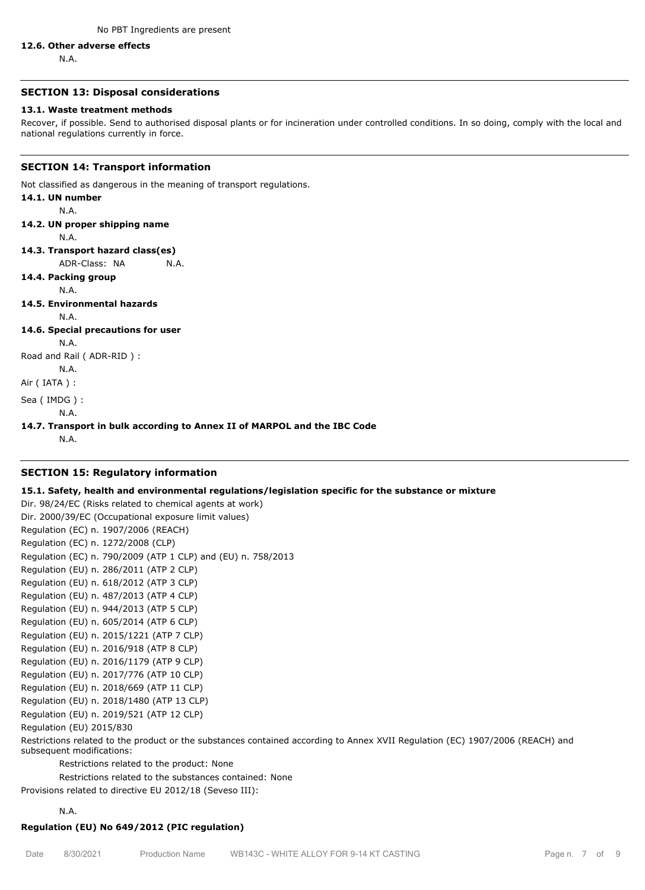#### **12.6. Other adverse effects**

N.A.

## **SECTION 13: Disposal considerations**

## **13.1. Waste treatment methods**

Recover, if possible. Send to authorised disposal plants or for incineration under controlled conditions. In so doing, comply with the local and national regulations currently in force.

## **SECTION 14: Transport information**

Not classified as dangerous in the meaning of transport regulations.

# **14.1. UN number** N.A. **14.2. UN proper shipping name** N.A. **14.3. Transport hazard class(es)** ADR-Class: NA N.A. **14.4. Packing group** N.A. **14.5. Environmental hazards** N.A. **14.6. Special precautions for user** N.A.

Road and Rail ( ADR-RID ) :

N.A.

Air ( IATA ) :

Sea ( IMDG ) :

N.A.

**14.7. Transport in bulk according to Annex II of MARPOL and the IBC Code**

N.A.

## **SECTION 15: Regulatory information**

## **15.1. Safety, health and environmental regulations/legislation specific for the substance or mixture**

Dir. 98/24/EC (Risks related to chemical agents at work) Dir. 2000/39/EC (Occupational exposure limit values) Regulation (EC) n. 1907/2006 (REACH) Regulation (EC) n. 1272/2008 (CLP) Regulation (EC) n. 790/2009 (ATP 1 CLP) and (EU) n. 758/2013 Regulation (EU) n. 286/2011 (ATP 2 CLP) Regulation (EU) n. 618/2012 (ATP 3 CLP) Regulation (EU) n. 487/2013 (ATP 4 CLP) Regulation (EU) n. 944/2013 (ATP 5 CLP) Regulation (EU) n. 605/2014 (ATP 6 CLP) Regulation (EU) n. 2015/1221 (ATP 7 CLP) Regulation (EU) n. 2016/918 (ATP 8 CLP) Regulation (EU) n. 2016/1179 (ATP 9 CLP) Regulation (EU) n. 2017/776 (ATP 10 CLP) Regulation (EU) n. 2018/669 (ATP 11 CLP) Regulation (EU) n. 2018/1480 (ATP 13 CLP) Regulation (EU) n. 2019/521 (ATP 12 CLP) Regulation (EU) 2015/830 Restrictions related to the product or the substances contained according to Annex XVII Regulation (EC) 1907/2006 (REACH) and subsequent modifications: Restrictions related to the product: None

Restrictions related to the substances contained: None

Provisions related to directive EU 2012/18 (Seveso III):

N.A.

# **Regulation (EU) No 649/2012 (PIC regulation)**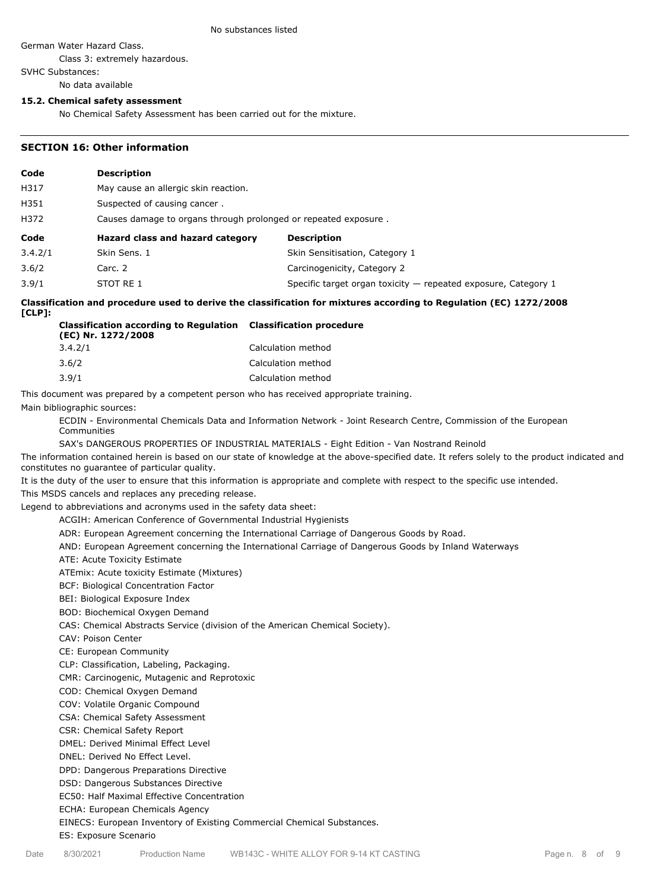#### No substances listed

German Water Hazard Class.

Class 3: extremely hazardous.

SVHC Substances:

No data available

## **15.2. Chemical safety assessment**

No Chemical Safety Assessment has been carried out for the mixture.

## **SECTION 16: Other information**

| Code    | <b>Description</b>                   |                                                                 |  |  |  |
|---------|--------------------------------------|-----------------------------------------------------------------|--|--|--|
| H317    | May cause an allergic skin reaction. |                                                                 |  |  |  |
| H351    | Suspected of causing cancer.         |                                                                 |  |  |  |
| H372    |                                      | Causes damage to organs through prolonged or repeated exposure. |  |  |  |
|         |                                      |                                                                 |  |  |  |
| Code    | Hazard class and hazard category     | <b>Description</b>                                              |  |  |  |
| 3.4.2/1 | Skin Sens. 1                         | Skin Sensitisation, Category 1                                  |  |  |  |
| 3.6/2   | Carc. 2                              | Carcinogenicity, Category 2                                     |  |  |  |

#### **Classification and procedure used to derive the classification for mixtures according to Regulation (EC) 1272/2008 [CLP]:**

| <b>Classification according to Regulation Classification procedure</b><br>(EC) Nr. 1272/2008 |                    |
|----------------------------------------------------------------------------------------------|--------------------|
| 3.4.2/1                                                                                      | Calculation method |
| 3.6/2                                                                                        | Calculation method |
| 3.9/1                                                                                        | Calculation method |

This document was prepared by a competent person who has received appropriate training.

Main bibliographic sources:

ECDIN - Environmental Chemicals Data and Information Network - Joint Research Centre, Commission of the European Communities

SAX's DANGEROUS PROPERTIES OF INDUSTRIAL MATERIALS - Eight Edition - Van Nostrand Reinold

The information contained herein is based on our state of knowledge at the above-specified date. It refers solely to the product indicated and constitutes no guarantee of particular quality.

It is the duty of the user to ensure that this information is appropriate and complete with respect to the specific use intended.

This MSDS cancels and replaces any preceding release.

Legend to abbreviations and acronyms used in the safety data sheet:

ACGIH: American Conference of Governmental Industrial Hygienists

ADR: European Agreement concerning the International Carriage of Dangerous Goods by Road.

AND: European Agreement concerning the International Carriage of Dangerous Goods by Inland Waterways

ATE: Acute Toxicity Estimate

ATEmix: Acute toxicity Estimate (Mixtures)

BCF: Biological Concentration Factor

BEI: Biological Exposure Index

BOD: Biochemical Oxygen Demand

CAS: Chemical Abstracts Service (division of the American Chemical Society).

CAV: Poison Center

CE: European Community

CLP: Classification, Labeling, Packaging.

CMR: Carcinogenic, Mutagenic and Reprotoxic

COD: Chemical Oxygen Demand

COV: Volatile Organic Compound

CSA: Chemical Safety Assessment

CSR: Chemical Safety Report

DMEL: Derived Minimal Effect Level

DNEL: Derived No Effect Level.

DPD: Dangerous Preparations Directive

DSD: Dangerous Substances Directive

EC50: Half Maximal Effective Concentration

ECHA: European Chemicals Agency

EINECS: European Inventory of Existing Commercial Chemical Substances.

ES: Exposure Scenario